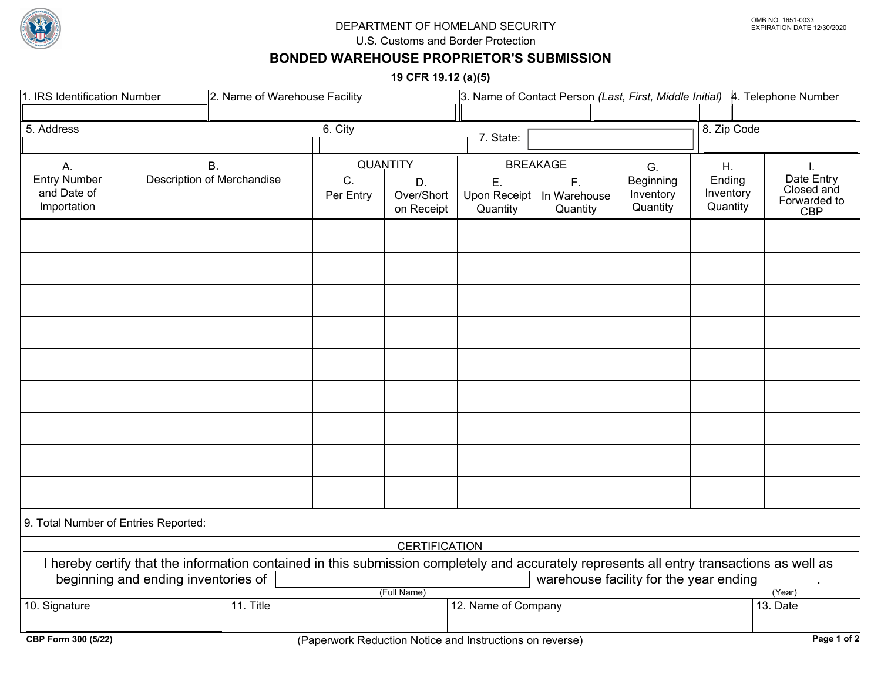

## DEPARTMENT OF HOMELAND SECURITY

U.S. Customs and Border Protection

## **BONDED WAREHOUSE PROPRIETOR'S SUBMISSION**

**19 CFR 19.12 (a)(5)**

| 1. IRS Identification Number                                                                                                                                                                    | 2. Name of Warehouse Facility |  | 3. Name of Contact Person (Last, First, Middle Initial) 4. Telephone Number |                                |                                         |                                                  |                                    |                                 |                                                        |  |
|-------------------------------------------------------------------------------------------------------------------------------------------------------------------------------------------------|-------------------------------|--|-----------------------------------------------------------------------------|--------------------------------|-----------------------------------------|--------------------------------------------------|------------------------------------|---------------------------------|--------------------------------------------------------|--|
|                                                                                                                                                                                                 |                               |  |                                                                             |                                |                                         |                                                  |                                    |                                 |                                                        |  |
| 5. Address                                                                                                                                                                                      | 6. City                       |  | 7. State:                                                                   |                                | 8. Zip Code<br>$\overline{\phantom{a}}$ |                                                  |                                    |                                 |                                                        |  |
|                                                                                                                                                                                                 |                               |  |                                                                             |                                |                                         |                                                  |                                    |                                 |                                                        |  |
| <b>B.</b><br>Α.                                                                                                                                                                                 |                               |  | <b>QUANTITY</b>                                                             |                                | <b>BREAKAGE</b>                         |                                                  | G.                                 | Η.                              | Ι.                                                     |  |
| <b>Entry Number</b><br>and Date of<br>Importation                                                                                                                                               | Description of Merchandise    |  | C.<br>Per Entry                                                             | D.<br>Over/Short<br>on Receipt | E.<br>Upon Receipt<br>Quantity          | F.<br>In Warehouse<br>Quantity                   | Beginning<br>Inventory<br>Quantity | Ending<br>Inventory<br>Quantity | Date Entry<br>Closed and<br>Forwarded to<br><b>CBP</b> |  |
|                                                                                                                                                                                                 |                               |  |                                                                             |                                |                                         |                                                  |                                    |                                 |                                                        |  |
|                                                                                                                                                                                                 |                               |  |                                                                             |                                |                                         |                                                  |                                    |                                 |                                                        |  |
|                                                                                                                                                                                                 |                               |  |                                                                             |                                |                                         |                                                  |                                    |                                 |                                                        |  |
|                                                                                                                                                                                                 |                               |  |                                                                             |                                |                                         |                                                  |                                    |                                 |                                                        |  |
|                                                                                                                                                                                                 |                               |  |                                                                             |                                |                                         |                                                  |                                    |                                 |                                                        |  |
|                                                                                                                                                                                                 |                               |  |                                                                             |                                |                                         |                                                  |                                    |                                 |                                                        |  |
|                                                                                                                                                                                                 |                               |  |                                                                             |                                |                                         |                                                  |                                    |                                 |                                                        |  |
|                                                                                                                                                                                                 |                               |  |                                                                             |                                |                                         |                                                  |                                    |                                 |                                                        |  |
|                                                                                                                                                                                                 |                               |  |                                                                             |                                |                                         |                                                  |                                    |                                 |                                                        |  |
| 9. Total Number of Entries Reported:                                                                                                                                                            |                               |  |                                                                             |                                |                                         |                                                  |                                    |                                 |                                                        |  |
| <b>CERTIFICATION</b>                                                                                                                                                                            |                               |  |                                                                             |                                |                                         |                                                  |                                    |                                 |                                                        |  |
| I hereby certify that the information contained in this submission completely and accurately represents all entry transactions as well as<br>beginning and ending inventories of<br>(Full Name) |                               |  |                                                                             |                                |                                         | warehouse facility for the year ending<br>(Year) |                                    |                                 |                                                        |  |
| 10. Signature<br>11. Title                                                                                                                                                                      |                               |  | 12. Name of Company                                                         |                                |                                         |                                                  |                                    |                                 | 13. Date                                               |  |
| CBP Form 300 (5/22)<br>(Paperwork Reduction Notice and Instructions on reverse)                                                                                                                 |                               |  |                                                                             |                                |                                         |                                                  |                                    |                                 | Page 1 of 2                                            |  |